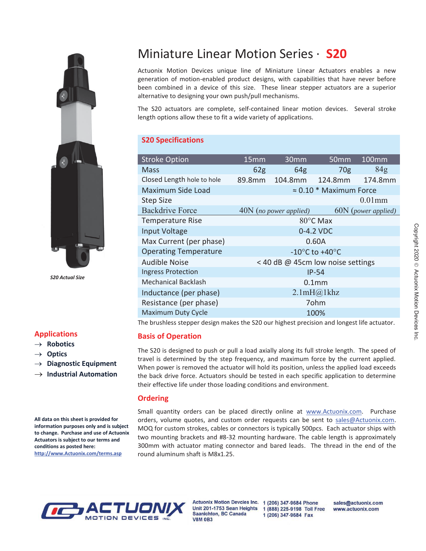

 *S20 Actual Size*

#### **Applications**

- $\rightarrow$  Robotics
- $\rightarrow$  Optics
- $\rightarrow$  Diagnostic Equipment
- $\rightarrow$  Industrial Automation

**All data on this sheet is provided for information purposes only and is subject to change. Purchase and use of Actuonix Actuators is subject to our terms and conditions as posted here: http://www.Actuonix.com/terms.asp**

# Miniature Linear Motion Series · **S20**

Actuonix Motion Devices unique line of Miniature Linear Actuators enables a new generation of motion-enabled product designs, with capabilities that have never before been combined in a device of this size. These linear stepper actuators are a superior alternative to designing your own push/pull mechanisms.

The S20 actuators are complete, self-contained linear motion devices. Several stroke length options allow these to fit a wide variety of applications.

# **S20 Specifications**

| <b>Stroke Option</b>         | 15 <sub>mm</sub>                   | 30 <sub>mm</sub>       | 50 <sub>mm</sub> | 100mm               |
|------------------------------|------------------------------------|------------------------|------------------|---------------------|
| Mass                         | 62 <sub>g</sub>                    | 64 <sub>g</sub>        | 70 <sub>g</sub>  | 84 <sub>g</sub>     |
| Closed Length hole to hole   | 89.8mm                             | 104.8mm                | 124.8mm          | 174.8mm             |
| Maximum Side Load            | $\approx 0.10$ * Maximum Force     |                        |                  |                     |
| <b>Step Size</b>             |                                    |                        |                  | $0.01$ mm           |
| <b>Backdrive Force</b>       |                                    | 40N (no power applied) |                  | 60N (power applied) |
| <b>Temperature Rise</b>      | $80^{\circ}$ C Max                 |                        |                  |                     |
| <b>Input Voltage</b>         | 0-4.2 VDC                          |                        |                  |                     |
| Max Current (per phase)      | 0.60A                              |                        |                  |                     |
| <b>Operating Temperature</b> | $-10^{\circ}$ C to $+40^{\circ}$ C |                        |                  |                     |
| Audible Noise                | < 40 dB @ 45cm low noise settings  |                        |                  |                     |
| <b>Ingress Protection</b>    | $IP-54$                            |                        |                  |                     |
| <b>Mechanical Backlash</b>   | 0.1 <sub>mm</sub>                  |                        |                  |                     |
| Inductance (per phase)       | 2.1mH@1khz                         |                        |                  |                     |
| Resistance (per phase)       | 7ohm                               |                        |                  |                     |
| <b>Maximum Duty Cycle</b>    | 100%                               |                        |                  |                     |
|                              |                                    |                        |                  |                     |

The brushless stepper design makes the S20 our highest precision and longest life actuator.

### **Basis of Operation**

The S20 is designed to push or pull a load axially along its full stroke length. The speed of travel is determined by the step frequency, and maximum force by the current applied. When power is removed the actuator will hold its position, unless the applied load exceeds the back drive force. Actuators should be tested in each specific application to determine their effective life under those loading conditions and environment.

#### **Ordering**

Small quantity orders can be placed directly online at www.Actuonix.com. Purchase orders, volume quotes, and custom order requests can be sent to sales@Actuonix.com. MOQ for custom strokes, cables or connectors is typically 500pcs. Each actuator ships with two mounting brackets and #8-32 mounting hardware. The cable length is approximately 300mm with actuator mating connector and bared leads. The thread in the end of the round aluminum shaft is M8x1.25.



Saanichton, BC Canada **V8M 0B3** 

Actuonix Motion Devcies Inc. 1 (206) 347-9684 Phone Unit 201-1753 Sean Heights 1 (888) 225-9198 Toll Free 1 (206) 347-9684 Fax

sales@actuonix.com www.actuonix.com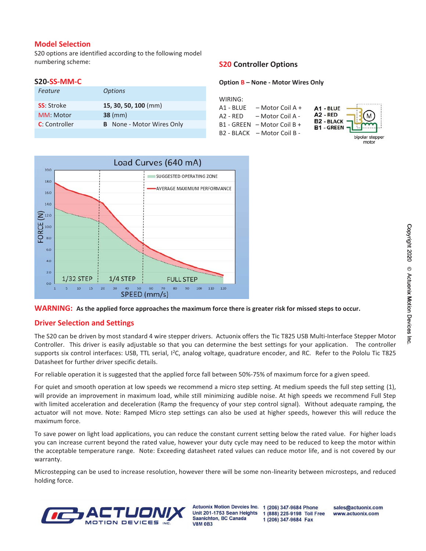#### **Model Selection**

S20 options are identified according to the following model numbering scheme:

#### **S20-SS-MM-C**

| Feature           | <b>Options</b>                   |
|-------------------|----------------------------------|
| <b>SS:</b> Stroke | 15, 30, 50, 100 (mm)             |
| MM: Motor         | $38 \, \text{(mm)}$              |
| C: Controller     | <b>B</b> None - Motor Wires Only |
|                   |                                  |

## **S20 Controller Options**

#### **Option B – None - Motor Wires Only**

| WIRING:    |                             |                                                                          |
|------------|-----------------------------|--------------------------------------------------------------------------|
| A1 - BLUE  | – Motor Coil A +            | A1 - BLUE                                                                |
| $A2 - RED$ | – Motor Coil A -            |                                                                          |
|            | B1 - GREEN - Motor Coil B + | B <sub>2 -</sub> RED<br>B <sub>2 -</sub> BLACK<br>B <sub>1 -</sub> GREEN |
|            | B2 - BLACK - Motor Coil B - |                                                                          |
|            |                             |                                                                          |





### **Driver Selection and Settings**

The S20 can be driven by most standard 4 wire stepper drivers. Actuonix offers the Tic T825 USB Multi-Interface Stepper Motor Controller. This driver is easily adjustable so that you can determine the best settings for your application. The controller supports six control interfaces: USB, TTL serial, I<sup>2</sup>C, analog voltage, quadrature encoder, and RC. Refer to the Pololu Tic T825 Datasheet for further driver specific details.

For reliable operation it is suggested that the applied force fall between 50%-75% of maximum force for a given speed.

For quiet and smooth operation at low speeds we recommend a micro step setting. At medium speeds the full step setting (1), will provide an improvement in maximum load, while still minimizing audible noise. At high speeds we recommend Full Step with limited acceleration and deceleration (Ramp the frequency of your step control signal). Without adequate ramping, the actuator will not move. Note: Ramped Micro step settings can also be used at higher speeds, however this will reduce the maximum force.

To save power on light load applications, you can reduce the constant current setting below the rated value. For higher loads you can increase current beyond the rated value, however your duty cycle may need to be reduced to keep the motor within the acceptable temperature range. Note: Exceeding datasheet rated values can reduce motor life, and is not covered by our warranty.

Microstepping can be used to increase resolution, however there will be some non-linearity between microsteps, and reduced holding force.



**Actuonix Motion Devcies Inc.** Unit 201-1753 Sean Heights Saanichton, BC Canada **V8M 0B3** 

1 (206) 347-9684 Phone 1 (888) 225-9198 Toll Free 1 (206) 347-9684 Fax

sales@actuonix.com www.actuonix.com

plar stepper motor